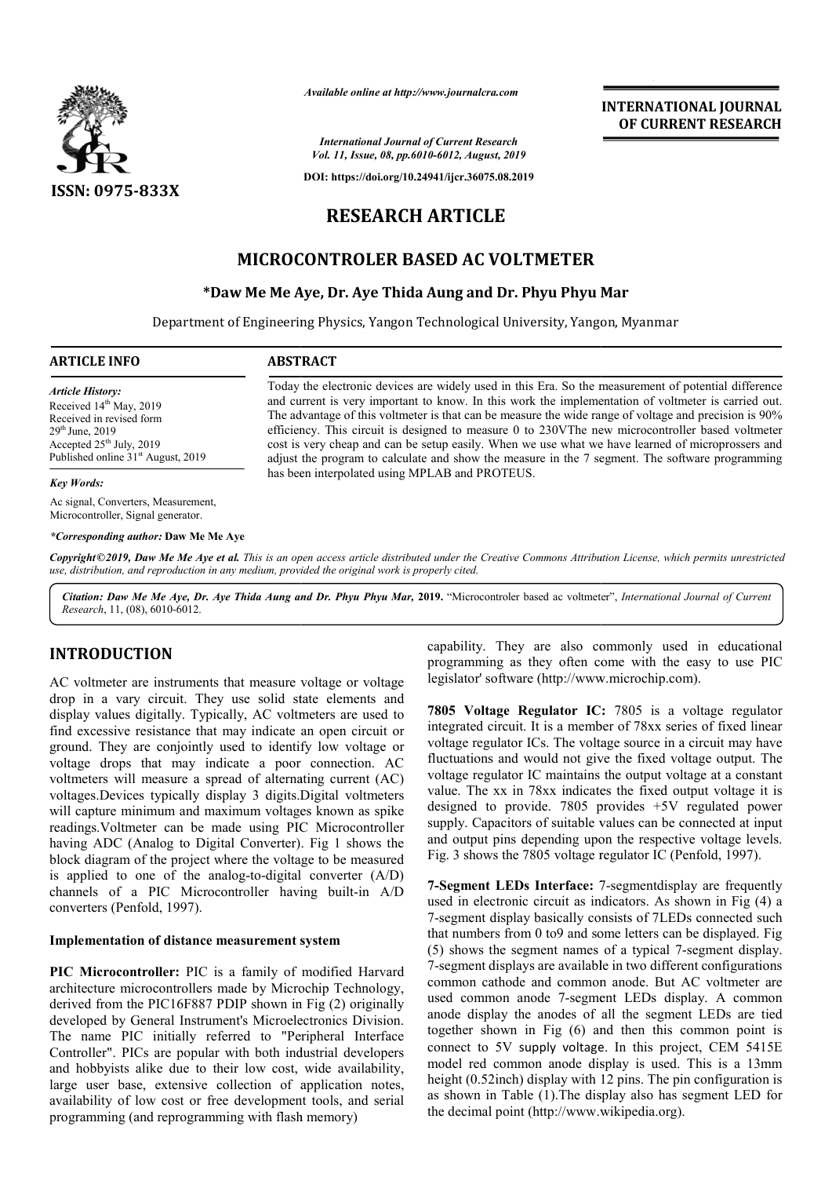

*Available online at http://www.journalcra.com*

*International Journal of Current Research Vol. 11, Issue, 08, pp.6010-6012, August, 2019*

**DOI: https://doi.org/10.24941/ijcr.36075.08.2019**

# **RESEARCH ARTICLE**

# **MICROCONTROLER BASED AC VOLTMETER**

# **\*Daw Me Me Aye, Dr. Aye Thida Daw Aung and Dr. Phyu Phyu Mar**

Department of Engineering Physics, Yangon Technological University, Yangon, Myanmar University, Yangon,

Today the electronic devices are widely used in this Era. So the measurement of potential difference and current is very important to know. In this work the implementation of voltmeter is carried out. The advantage of this voltmeter is that can be measure the wide range of voltage and precision is 90% efficiency. This circuit is designed to measure 0 to 230VThe new microcontroller based voltmeter cost is very cheap and can be setup easily. When we use what we have learned of microprossers and adjust the program to calculate and show the measure in the 7 segment. The software programming

Today the electronic devices are widely used in this Era. So the measurement of potential difference and current is very important to know. In this work the implementation of voltmeter is carried out. The advantage of this

# **ARTICLE INFO ABSTRACT**

*Article History:* Received 14<sup>th</sup> May, 2019 Received in revised form  $29<sup>th</sup>$  June,  $2019$ Accepted  $25<sup>th</sup>$  July, 2019 Published online 31<sup>st</sup> August, 2019

## *Key Words:*

Ac signal, Converters, Measurement, Microcontroller, Signal generator.

### *\*Corresponding author:* **Daw Me Me Aye**

Copyright©2019, Daw Me Me Aye et al. This is an open access article distributed under the Creative Commons Attribution License, which permits unrestrictea *use, distribution, and reproduction in any medium, provided the original work is properly cited.*

has been interpolated using MPLAB and PROTEUS.

Citation: Daw Me Me Aye, Dr. Aye Thida Aung and Dr. Phyu Phyu Mar, 2019. "Microcontroler based ac voltmeter", *International Journal of Current Research*, 11, (08), 6010-6012.

# **INTRODUCTION**

AC voltmeter are instruments that measure voltage or voltage drop in a vary circuit. They use solid state elements and display values digitally. Typically, AC voltmeters are used to find excessive resistance that may indicate an open circuit or ground. They are conjointly used to identify low voltage or voltage drops that may indicate a poor connection. AC voltmeters will measure a spread of alternating current (AC) voltages.Devices typically display 3 digits.Digital voltmeters will capture minimum and maximum voltages known as spike readings.Voltmeter can be made using PIC Microcontroller having ADC (Analog to Digital Converter). Fig 1 shows the block diagram of the project where the voltage to be measured is applied to one of the analog-to-digital converter (A/D) will capture minimum and maximum voltages known as spike<br>readings.Voltmeter can be made using PIC Microcontroller<br>having ADC (Analog to Digital Converter). Fig 1 shows the<br>block diagram of the project where the voltage to converters (Penfold, 1997).

## **Implementation of distance measurement system**

**PIC Microcontroller:** PIC is a family of modified Harvard architecture microcontrollers made by Microchip Technology, derived from the PIC16F887 PDIP shown in Fig (2) originally developed by General Instrument's Microelectronics Division. The name PIC initially referred to "Peripheral Interface Controller". PICs are popular with both industrial developers and hobbyists alike due to their low cost, wide availability, large user base, extensive collection of application notes, availability of low cost or free development tools, and serial programming (and reprogramming with flash memory)

capability. They are also commonly used in educational programming as they often come with the easy to use PIC capability. They are also commonly used in programming as they often come with the easy legislator' software (http://www.microchip.com).

**INTERNATIONAL JOURNAL OF CURRENT RESEARCH**

7805 Voltage Regulator IC: 7805 is a voltage regulator integrated circuit. It is a member of 78xx series of fixed linear voltage regulator ICs. The voltage source in a circuit may have fluctuations and would not give the fixed voltage output. The voltage regulator IC maintains the output voltage at a constant value. The xx in 78xx indicates the fixed output voltage it is designed to provide. 7805 provides +5V regulated power supply. Capacitors of suitable values can be connected at input and output pins depending upon the respective voltage levels. Fig. 3 shows the 7805 voltage regulator IC (Penfold, 1997). ed circuit. It is a member of 78xx series of fixed linear regulator ICs. The voltage source in a circuit may have ions and would not give the fixed voltage output. The regulator IC maintains the output voltage at a constan

**7-Segment LEDs Interface:** 7 7-segmentdisplay are frequently used in electronic circuit as indicators. As shown in Fig (4) a 7-segment display basically consists of 7LEDs connected such that numbers from 0 to 9 and some letters can be displayed. Fig.  $(5)$  shows the segment names of a typical 7-segment display. 7-segment displays are available in two different configurations common cathode and common anode. But AC voltmeter are common cathode and common anode. But AC voltmeter are used common anode 7-segment LEDs display. A common anode display the anodes of all the segment LEDs are tied together shown in Fig (6) and then this common point is anode display the anodes of all the segment LEDs are tied together shown in Fig (6) and then this common point is connect to 5V supply voltage. In this project, CEM 5415E model red common anode display is used. This is a 13mm height (0.52inch) display with 12 pins. The pin configuration is as shown in Table (1).The display also has segment LED for the decimal point (http://www.wikipedia.org ed in electronic circuit as indicators. As shown in Fig (4) a segment display basically consists of 7LEDs connected such at numbers from 0 to9 and some letters can be displayed. Fig nch) display with 12 pins. The pin<br>Table (1).The display also has se<br>ooint (http://www.wikipedia.org).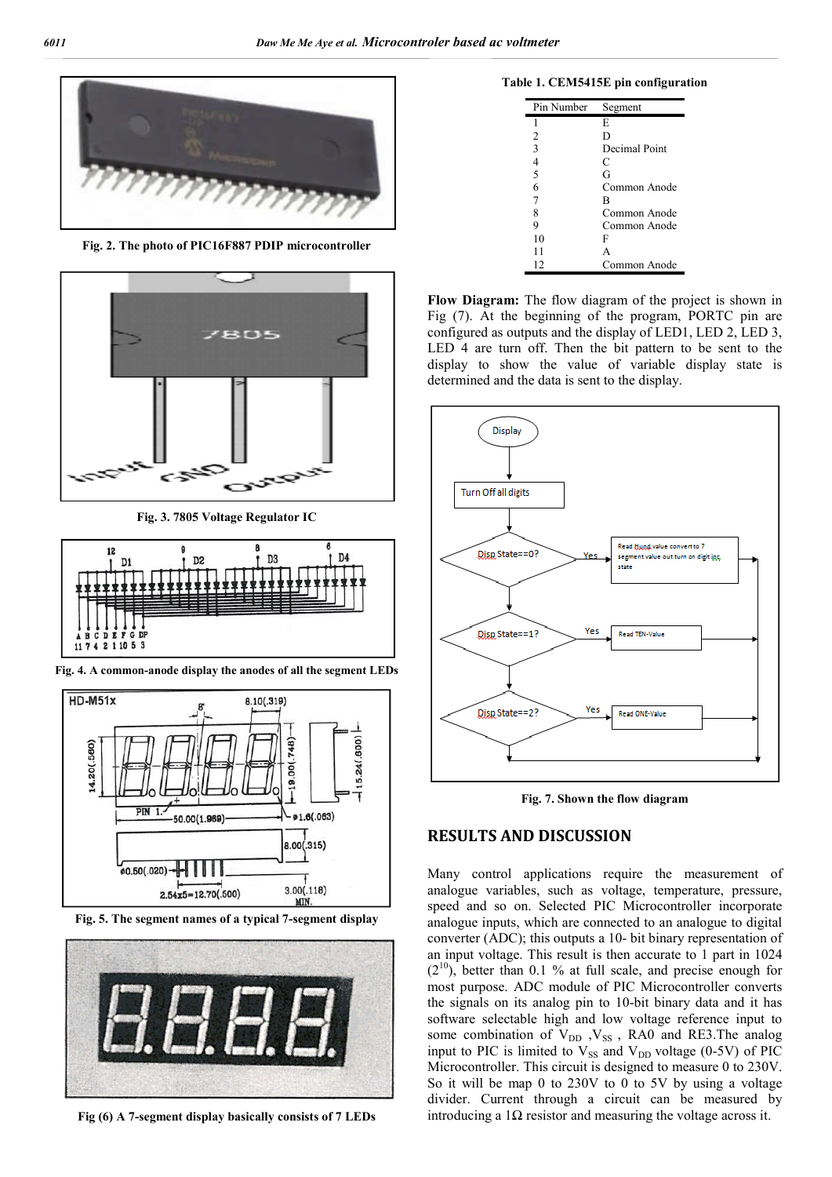

**Fig. 2. The photo of PIC16F887 PDIP microcontroller**



**Fig. 3. 7805 Voltage Regulator IC**



**Fig. 4. A common-anode display the anodes of all the segment LEDs**



**Fig. 5. The segment names of a typical 7-segment display**



**Fig (6) A 7-segment display basically consists of 7 LEDs**

|  |  |  | Table 1. CEM5415E pin configuration |
|--|--|--|-------------------------------------|
|--|--|--|-------------------------------------|

| Pin Number | Segment       |
|------------|---------------|
| 1          | E             |
| 2          | D             |
| 3          | Decimal Point |
| 4          | C             |
| 5          | G             |
| 6          | Common Anode  |
| 7          | B             |
| 8          | Common Anode  |
| 9          | Common Anode  |
| 10         | F             |
| 11         | A             |
| 12         | Common Anode  |

**Flow Diagram:** The flow diagram of the project is shown in Fig (7). At the beginning of the program, PORTC pin are configured as outputs and the display of LED1, LED 2, LED 3, LED 4 are turn off. Then the bit pattern to be sent to the display to show the value of variable display state is determined and the data is sent to the display.



**Fig. 7. Shown the flow diagram**

# **RESULTS AND DISCUSSION**

Many control applications require the measurement of analogue variables, such as voltage, temperature, pressure, speed and so on. Selected PIC Microcontroller incorporate analogue inputs, which are connected to an analogue to digital converter (ADC); this outputs a 10- bit binary representation of an input voltage. This result is then accurate to 1 part in 1024  $(2^{10})$ , better than 0.1 % at full scale, and precise enough for most purpose. ADC module of PIC Microcontroller converts the signals on its analog pin to 10-bit binary data and it has software selectable high and low voltage reference input to some combination of  $V_{DD}$  ,  $V_{SS}$  , RA0 and RE3. The analog input to PIC is limited to  $V_{SS}$  and  $V_{DD}$  voltage (0-5V) of PIC Microcontroller. This circuit is designed to measure 0 to 230V. So it will be map 0 to 230V to 0 to 5V by using a voltage divider. Current through a circuit can be measured by introducing a  $1\Omega$  resistor and measuring the voltage across it.